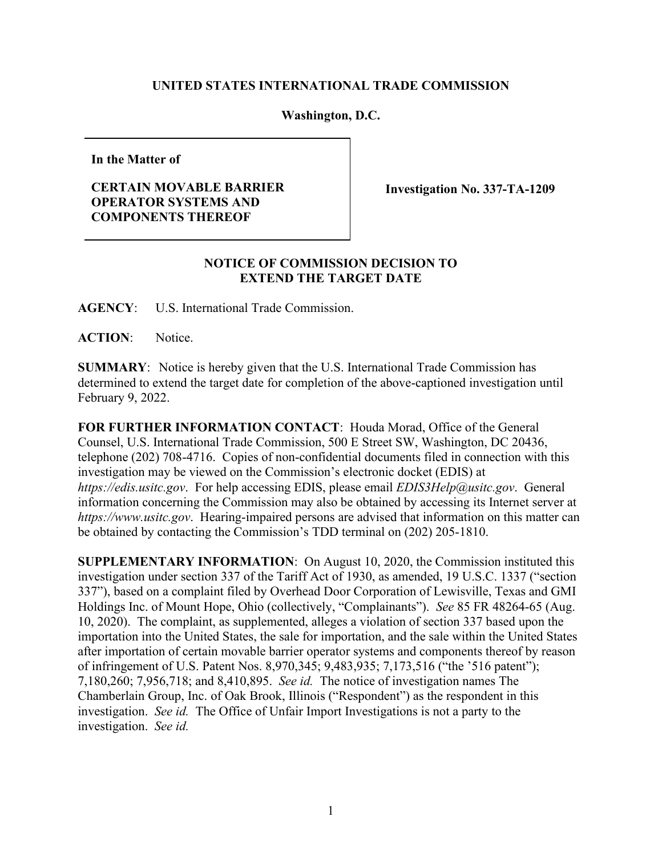## **UNITED STATES INTERNATIONAL TRADE COMMISSION**

## **Washington, D.C.**

**In the Matter of**

## **CERTAIN MOVABLE BARRIER OPERATOR SYSTEMS AND COMPONENTS THEREOF**

**Investigation No. 337-TA-1209** 

## **NOTICE OF COMMISSION DECISION TO EXTEND THE TARGET DATE**

**AGENCY**: U.S. International Trade Commission.

ACTION: Notice.

**SUMMARY**: Notice is hereby given that the U.S. International Trade Commission has determined to extend the target date for completion of the above-captioned investigation until February 9, 2022.

**FOR FURTHER INFORMATION CONTACT**: Houda Morad, Office of the General Counsel, U.S. International Trade Commission, 500 E Street SW, Washington, DC 20436, telephone (202) 708-4716. Copies of non-confidential documents filed in connection with this investigation may be viewed on the Commission's electronic docket (EDIS) at *https://edis.usitc.gov*. For help accessing EDIS, please email *EDIS3Help@usitc.gov*. General information concerning the Commission may also be obtained by accessing its Internet server at *https://www.usitc.gov*. Hearing-impaired persons are advised that information on this matter can be obtained by contacting the Commission's TDD terminal on (202) 205-1810.

**SUPPLEMENTARY INFORMATION**: On August 10, 2020, the Commission instituted this investigation under section 337 of the Tariff Act of 1930, as amended, 19 U.S.C. 1337 ("section 337"), based on a complaint filed by Overhead Door Corporation of Lewisville, Texas and GMI Holdings Inc. of Mount Hope, Ohio (collectively, "Complainants"). *See* 85 FR 48264-65 (Aug. 10, 2020). The complaint, as supplemented, alleges a violation of section 337 based upon the importation into the United States, the sale for importation, and the sale within the United States after importation of certain movable barrier operator systems and components thereof by reason of infringement of U.S. Patent Nos. 8,970,345; 9,483,935; 7,173,516 ("the '516 patent"); 7,180,260; 7,956,718; and 8,410,895. *See id.* The notice of investigation names The Chamberlain Group, Inc. of Oak Brook, Illinois ("Respondent") as the respondent in this investigation. *See id.* The Office of Unfair Import Investigations is not a party to the investigation. *See id.*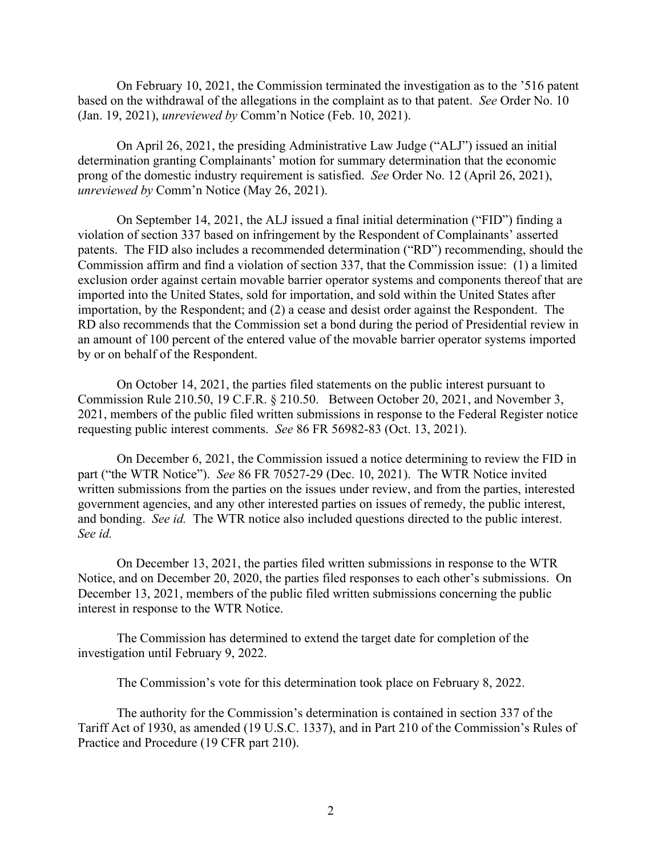On February 10, 2021, the Commission terminated the investigation as to the '516 patent based on the withdrawal of the allegations in the complaint as to that patent. *See* Order No. 10 (Jan. 19, 2021), *unreviewed by* Comm'n Notice (Feb. 10, 2021).

On April 26, 2021, the presiding Administrative Law Judge ("ALJ") issued an initial determination granting Complainants' motion for summary determination that the economic prong of the domestic industry requirement is satisfied. *See* Order No. 12 (April 26, 2021), *unreviewed by* Comm'n Notice (May 26, 2021).

On September 14, 2021, the ALJ issued a final initial determination ("FID") finding a violation of section 337 based on infringement by the Respondent of Complainants' asserted patents. The FID also includes a recommended determination ("RD") recommending, should the Commission affirm and find a violation of section 337, that the Commission issue: (1) a limited exclusion order against certain movable barrier operator systems and components thereof that are imported into the United States, sold for importation, and sold within the United States after importation, by the Respondent; and (2) a cease and desist order against the Respondent. The RD also recommends that the Commission set a bond during the period of Presidential review in an amount of 100 percent of the entered value of the movable barrier operator systems imported by or on behalf of the Respondent.

On October 14, 2021, the parties filed statements on the public interest pursuant to Commission Rule 210.50, 19 C.F.R. § 210.50. Between October 20, 2021, and November 3, 2021, members of the public filed written submissions in response to the Federal Register notice requesting public interest comments. *See* 86 FR 56982-83 (Oct. 13, 2021).

On December 6, 2021, the Commission issued a notice determining to review the FID in part ("the WTR Notice"). *See* 86 FR 70527-29 (Dec. 10, 2021). The WTR Notice invited written submissions from the parties on the issues under review, and from the parties, interested government agencies, and any other interested parties on issues of remedy, the public interest, and bonding. *See id.* The WTR notice also included questions directed to the public interest. *See id.* 

On December 13, 2021, the parties filed written submissions in response to the WTR Notice, and on December 20, 2020, the parties filed responses to each other's submissions. On December 13, 2021, members of the public filed written submissions concerning the public interest in response to the WTR Notice.

The Commission has determined to extend the target date for completion of the investigation until February 9, 2022.

The Commission's vote for this determination took place on February 8, 2022.

The authority for the Commission's determination is contained in section 337 of the Tariff Act of 1930, as amended (19 U.S.C. 1337), and in Part 210 of the Commission's Rules of Practice and Procedure (19 CFR part 210).